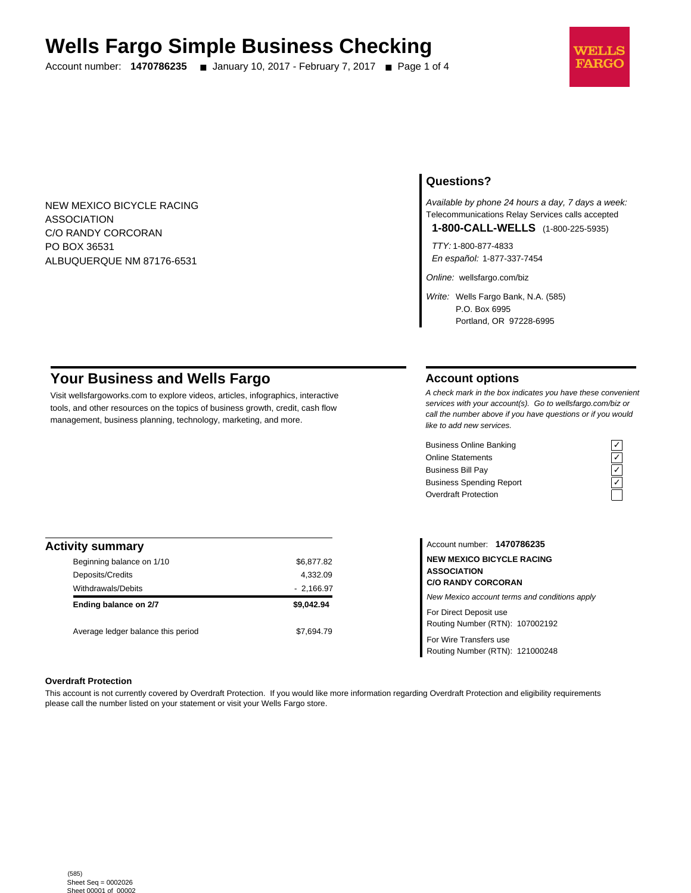# **Wells Fargo Simple Business Checking**

Account number: **1470786235** ■ January 10, 2017 - February 7, 2017 ■ Page 1 of 4



NEW MEXICO BICYCLE RACING ASSOCIATION C/O RANDY CORCORAN PO BOX 36531 ALBUQUERQUE NM 87176-6531

# **Questions?**

Available by phone 24 hours a day, 7 days a week: Telecommunications Relay Services calls accepted

**1-800-CALL-WELLS** (1-800-225-5935)

TTY: 1-800-877-4833 En español: 1-877-337-7454

Online: wellsfargo.com/biz

Write: Wells Fargo Bank, N.A. (585) P.O. Box 6995 Portland, OR 97228-6995

# **Your Business and Wells Fargo**

Visit wellsfargoworks.com to explore videos, articles, infographics, interactive tools, and other resources on the topics of business growth, credit, cash flow management, business planning, technology, marketing, and more.

### **Account options**

A check mark in the box indicates you have these convenient services with your account(s). Go to wellsfargo.com/biz or call the number above if you have questions or if you would like to add new services.

Business Online Banking<br>
Online Statements<br>
Business Bill Pay<br>
Business Spending Report<br>  $\overline{C}$ <br>
Overdraft Protection Online Statements Business Bill Pay Business Spending Report Overdraft Protection



| <b>Activity summary</b>            |             |
|------------------------------------|-------------|
| Beginning balance on 1/10          | \$6,877.82  |
| Deposits/Credits                   | 4,332.09    |
| <b>Withdrawals/Debits</b>          | $-2,166.97$ |
| Ending balance on 2/7              | \$9.042.94  |
| Average ledger balance this period | \$7.694.79  |

Account number: **1470786235 NEW MEXICO BICYCLE RACING ASSOCIATION C/O RANDY CORCORAN** New Mexico account terms and conditions apply For Direct Deposit use

Routing Number (RTN): 107002192

For Wire Transfers use Routing Number (RTN): 121000248

#### **Overdraft Protection**

This account is not currently covered by Overdraft Protection. If you would like more information regarding Overdraft Protection and eligibility requirements please call the number listed on your statement or visit your Wells Fargo store.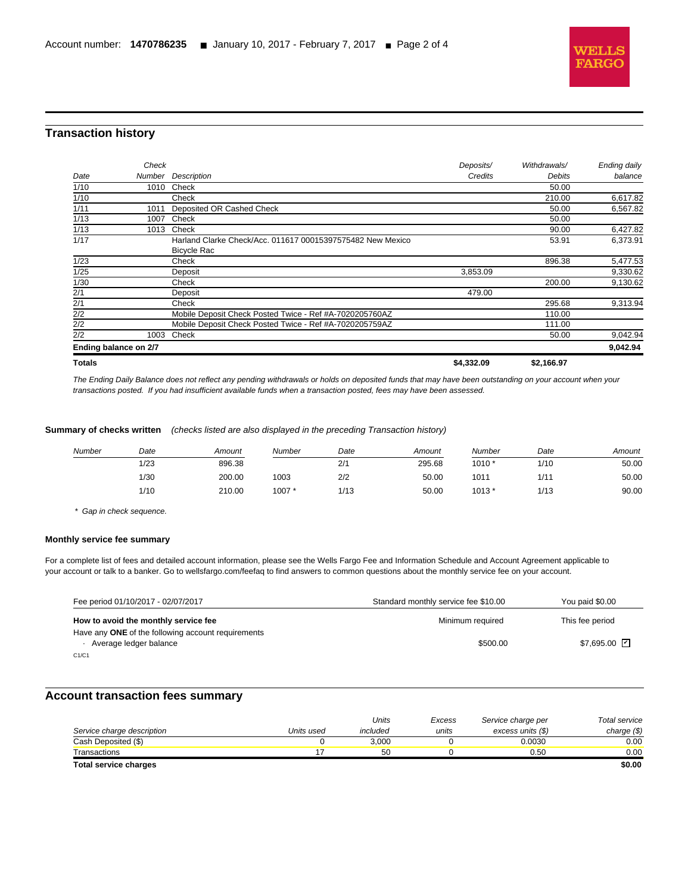

# **Transaction history**

l

| <b>Totals</b>         |        |                                                            | \$4,332.09 | \$2,166.97   |              |
|-----------------------|--------|------------------------------------------------------------|------------|--------------|--------------|
| Ending balance on 2/7 |        |                                                            |            |              | 9,042.94     |
| 2/2                   | 1003   | Check                                                      |            | 50.00        | 9,042.94     |
| 2/2                   |        | Mobile Deposit Check Posted Twice - Ref #A-7020205759AZ    |            | 111.00       |              |
| 2/2                   |        | Mobile Deposit Check Posted Twice - Ref #A-7020205760AZ    |            | 110.00       |              |
| 2/1                   |        | Check                                                      |            | 295.68       | 9,313.94     |
| 2/1                   |        | Deposit                                                    | 479.00     |              |              |
| 1/30                  |        | Check                                                      |            | 200.00       | 9,130.62     |
| 1/25                  |        | Deposit                                                    | 3,853.09   |              | 9,330.62     |
| 1/23                  |        | Check                                                      |            | 896.38       | 5,477.53     |
|                       |        | <b>Bicycle Rac</b>                                         |            |              |              |
| 1/17                  |        | Harland Clarke Check/Acc. 011617 00015397575482 New Mexico |            | 53.91        | 6,373.91     |
| 1/13                  | 1013   | Check                                                      |            | 90.00        | 6,427.82     |
| 1/13                  | 1007   | Check                                                      |            | 50.00        |              |
| 1/11                  | 1011   | Deposited OR Cashed Check                                  |            | 50.00        | 6,567.82     |
| 1/10                  |        | Check                                                      |            | 210.00       | 6,617.82     |
| 1/10                  | 1010   | Check                                                      |            | 50.00        |              |
| Date                  | Number | Description                                                | Credits    | Debits       | balance      |
|                       | Check  |                                                            | Deposits/  | Withdrawals/ | Ending daily |

The Ending Daily Balance does not reflect any pending withdrawals or holds on deposited funds that may have been outstanding on your account when your transactions posted. If you had insufficient available funds when a transaction posted, fees may have been assessed.

#### **Summary of checks written** (checks listed are also displayed in the preceding Transaction history)

| Number | Date | Amount | Number | Date | Amount | Number | Date               | Amount |
|--------|------|--------|--------|------|--------|--------|--------------------|--------|
|        | 1/23 | 896.38 |        | 2/1  | 295.68 | 1010 * | 1/10               | 50.00  |
|        | 1/30 | 200.00 | 1003   | 2/2  | 50.00  | 1011   | $1/1$ <sup>-</sup> | 50.00  |
|        | 1/10 | 210.00 | 1007*  | 1/13 | 50.00  | 1013 * | 1/13               | 90.00  |

\* Gap in check sequence.

#### **Monthly service fee summary**

For a complete list of fees and detailed account information, please see the Wells Fargo Fee and Information Schedule and Account Agreement applicable to your account or talk to a banker. Go to wellsfargo.com/feefaq to find answers to common questions about the monthly service fee on your account.

| Fee period 01/10/2017 - 02/07/2017                                           | Standard monthly service fee \$10.00 | You paid \$0.00 |
|------------------------------------------------------------------------------|--------------------------------------|-----------------|
| How to avoid the monthly service fee                                         | Minimum required                     | This fee period |
| Have any ONE of the following account requirements<br>Average ledger balance | \$500.00                             | \$7,695.00 ⊡    |
| C1/C1                                                                        |                                      |                 |

## **Account transaction fees summary**

|                            |            | Units    | Excess | Service charge per | Total service |
|----------------------------|------------|----------|--------|--------------------|---------------|
| Service charge description | Units used | included | units  | excess units (\$)  | charge $(\$)$ |
| Cash Deposited (\$)        |            | 3.000    |        | 0.0030             | $0.00\,$      |
| Transactions               |            | 50       |        | 0.50               | 0.00          |
| Total service charges      |            |          |        |                    | \$0.00        |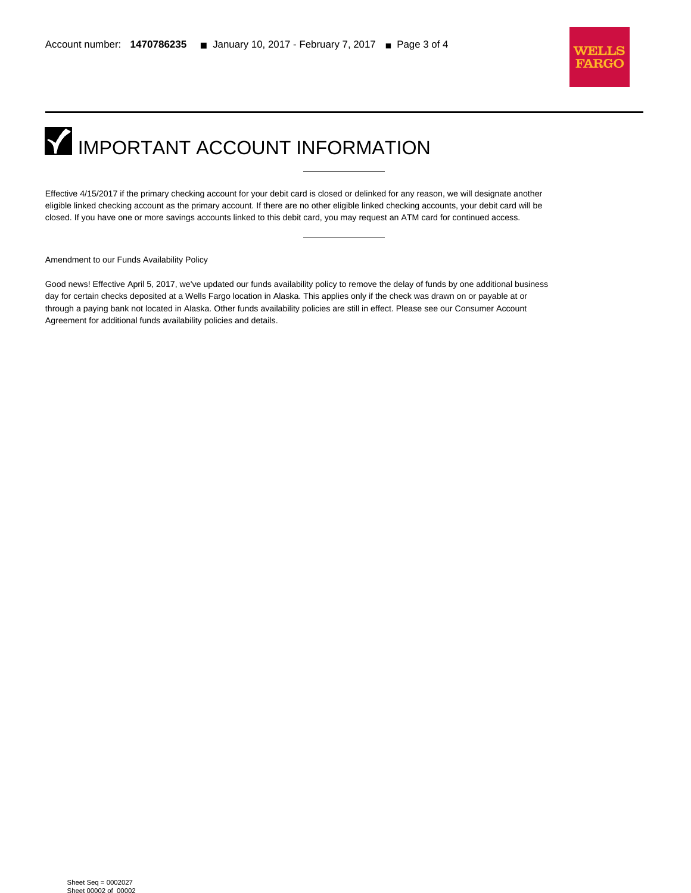

# **IMPORTANT ACCOUNT INFORMATION**

Effective 4/15/2017 if the primary checking account for your debit card is closed or delinked for any reason, we will designate another eligible linked checking account as the primary account. If there are no other eligible linked checking accounts, your debit card will be closed. If you have one or more savings accounts linked to this debit card, you may request an ATM card for continued access.

Amendment to our Funds Availability Policy

l

Good news! Effective April 5, 2017, we've updated our funds availability policy to remove the delay of funds by one additional business day for certain checks deposited at a Wells Fargo location in Alaska. This applies only if the check was drawn on or payable at or through a paying bank not located in Alaska. Other funds availability policies are still in effect. Please see our Consumer Account Agreement for additional funds availability policies and details.